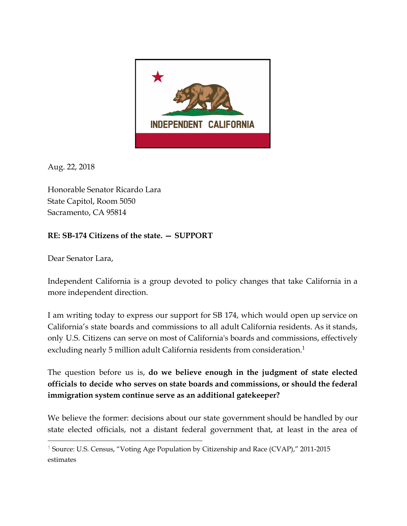

Aug. 22, 2018

Honorable Senator Ricardo Lara State Capitol, Room 5050 Sacramento, CA 95814

## **RE: SB174 Citizens of the state. — SUPPORT**

Dear Senator Lara,

Independent California is a group devoted to policy changes that take California in a more independent direction.

I am writing today to express our support for SB 174, which would open up service on California's state boards and commissions to all adult California residents. As it stands, only U.S. Citizens can serve on most of California's boards and commissions, effectively excluding nearly 5 million adult California residents from consideration.<sup>1</sup>

The question before us is, **do we believe enough in the judgment of state elected officials to decide who serves on state boards and commissions, or should the federal immigration system continue serve as an additional gatekeeper?**

We believe the former: decisions about our state government should be handled by our state elected officials, not a distant federal government that, at least in the area of

<sup>&</sup>lt;sup>1</sup> Source: U.S. Census, "Voting Age Population by Citizenship and Race (CVAP)," 2011-2015 estimates